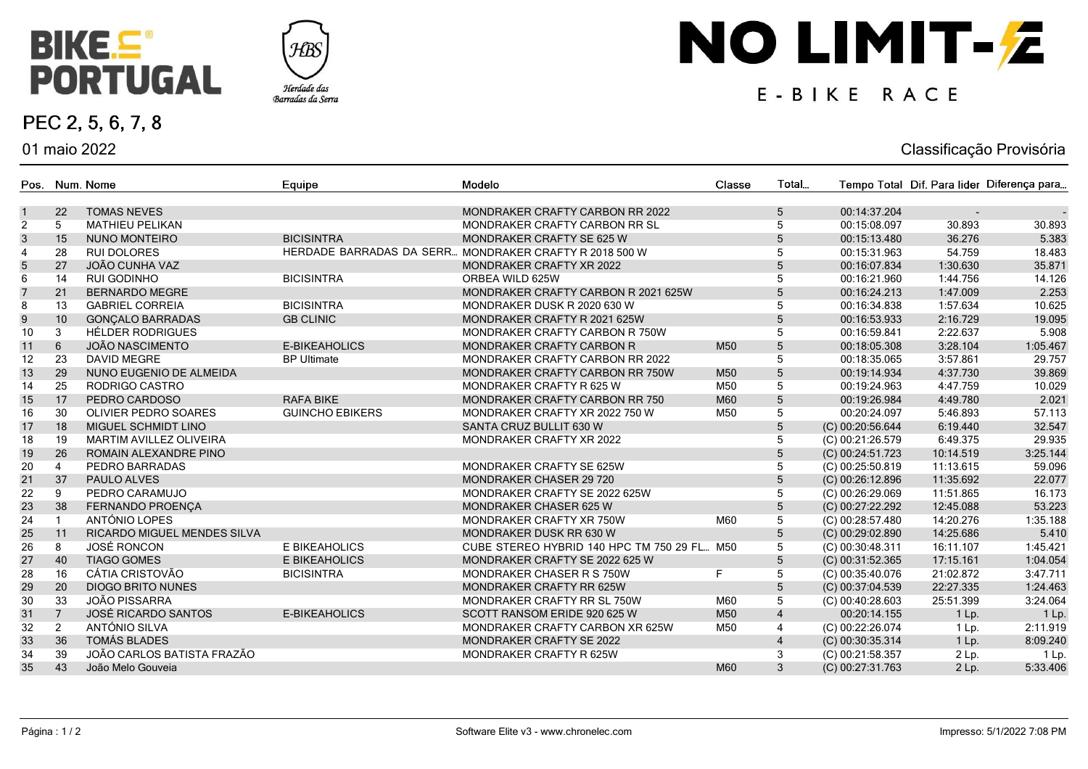

01 maio 2022

PEC 2, 5, 6, 7, 8



# NO LIMIT-Z

#### E-BIKE RACE

#### Classificação Provisória

| $5\phantom{.0}$<br>22<br><b>TOMAS NEVES</b><br>MONDRAKER CRAFTY CARBON RR 2022<br>00:14:37.204<br>$\mathbf{1}$<br>2<br>5<br>30.893<br>30.893<br><b>MATHIEU PELIKAN</b><br>MONDRAKER CRAFTY CARBON RR SL<br>00:15:08.097<br>5<br>15<br>5<br>$\mathbf{3}$<br>36.276<br>5.383<br><b>NUNO MONTEIRO</b><br><b>BICISINTRA</b><br><b>MONDRAKER CRAFTY SE 625 W</b><br>00:15:13.480<br>28<br>HERDADE BARRADAS DA SERR MONDRAKER CRAFTY R 2018 500 W<br>5<br>54.759<br>18.483<br>$\overline{4}$<br><b>RUI DOLORES</b><br>00:15:31.963<br>$5\phantom{.0}$<br>27<br>$5\phantom{.0}$<br>35.871<br>JOÃO CUNHA VAZ<br>1:30.630<br>MONDRAKER CRAFTY XR 2022<br>00:16:07.834<br>$\,6\,$<br>14<br>5<br><b>BICISINTRA</b><br>00:16:21.960<br>1:44.756<br>14.126<br>RUI GODINHO<br>ORBEA WILD 625W<br>$\overline{7}$<br>21<br>$5\phantom{.0}$<br>2.253<br>00:16:24.213<br>1:47.009<br><b>BERNARDO MEGRE</b><br>MONDRAKER CRAFTY CARBON R 2021 625W<br>5<br>8<br>13<br><b>BICISINTRA</b><br>1:57.634<br>10.625<br><b>GABRIEL CORREIA</b><br>00:16:34.838<br>MONDRAKER DUSK R 2020 630 W<br>$\boldsymbol{9}$<br>10<br>$5\phantom{.0}$<br>2:16.729<br>19.095<br><b>GONÇALO BARRADAS</b><br><b>GB CLINIC</b><br>MONDRAKER CRAFTY R 2021 625W<br>00:16:53.933<br>5<br>10<br><b>HÉLDER RODRIGUES</b><br>00:16:59.841<br>2:22.637<br>5.908<br>3<br>MONDRAKER CRAFTY CARBON R 750W<br>$\overline{5}$<br>11<br>6<br><b>JOÃO NASCIMENTO</b><br>E-BIKEAHOLICS<br>M50<br>3:28.104<br>MONDRAKER CRAFTY CARBON R<br>00:18:05.308<br>1:05.467<br>23<br>5<br>00:18:35.065<br>3:57.861<br>29.757<br>$12 \overline{ }$<br><b>DAVID MEGRE</b><br><b>BP Ultimate</b><br>MONDRAKER CRAFTY CARBON RR 2022<br>29<br>13<br>$\overline{5}$<br>4:37.730<br>39.869<br>NUNO EUGENIO DE ALMEIDA<br>MONDRAKER CRAFTY CARBON RR 750W<br>M50<br>00:19:14.934<br>25<br>5<br>14<br>M50<br>00:19:24.963<br>4:47.759<br>10.029<br>RODRIGO CASTRO<br>MONDRAKER CRAFTY R 625 W<br>17<br>$\overline{5}$<br>15<br>PEDRO CARDOSO<br><b>RAFA BIKE</b><br>MONDRAKER CRAFTY CARBON RR 750<br>M60<br>00:19:26.984<br>4:49.780<br>2.021<br>5<br>16<br>30<br><b>GUINCHO EBIKERS</b><br>M50<br>00:20:24.097<br>5:46.893<br>57.113<br>OLIVIER PEDRO SOARES<br>MONDRAKER CRAFTY XR 2022 750 W<br>$\overline{5}$<br>32.547<br>17<br>18<br>SANTA CRUZ BULLIT 630 W<br>(C) 00:20:56.644<br>6:19.440<br>MIGUEL SCHMIDT LINO<br>5<br>29.935<br>18<br>19<br>(C) 00:21:26.579<br>6:49.375<br>MARTIM AVILLEZ OLIVEIRA<br>MONDRAKER CRAFTY XR 2022<br>26<br>$\sqrt{5}$<br>19<br>ROMAIN ALEXANDRE PINO<br>(C) 00:24:51.723<br>10:14.519<br>3:25.144<br>5<br>20<br>MONDRAKER CRAFTY SE 625W<br>(C) 00:25:50.819<br>11:13.615<br>59.096<br>PEDRO BARRADAS<br>$\overline{4}$<br>$\overline{5}$<br>37<br>21<br><b>MONDRAKER CHASER 29 720</b><br>(C) 00:26:12.896<br>11:35.692<br>22.077<br>PAULO ALVES<br>22<br>PEDRO CARAMUJO<br>5<br>$(C)$ 00:26:29.069<br>11:51.865<br>16.173<br>9<br>MONDRAKER CRAFTY SE 2022 625W<br>$5\phantom{.0}$<br>23<br>38<br>53.223<br>FERNANDO PROENÇA<br>(C) 00:27:22.292<br>12:45.088<br><b>MONDRAKER CHASER 625 W</b><br>24<br>ANTÓNIO LOPES<br>M60<br>5<br>1:35.188<br>MONDRAKER CRAFTY XR 750W<br>(C) 00:28:57.480<br>14:20.276<br>$5\phantom{.0}$<br>25<br>11<br>5.410<br><b>RICARDO MIGUEL MENDES SILVA</b><br>(C) 00:29:02.890<br>14:25.686<br>MONDRAKER DUSK RR 630 W<br>26<br><b>JOSÉ RONCON</b><br>E BIKEAHOLICS<br>5<br>8<br>CUBE STEREO HYBRID 140 HPC TM 750 29 FL<br>M50<br>(C) 00:30:48.311<br>16:11.107<br>1:45.421<br>$\overline{5}$<br>27<br>40<br><b>TIAGO GOMES</b><br><b>E BIKEAHOLICS</b><br>(C) 00:31:52.365<br>17:15.161<br>1:04.054<br>MONDRAKER CRAFTY SE 2022 625 W<br>16<br>CÁTIA CRISTOVÃO<br>F.<br>5<br>28<br>(C) 00:35:40.076<br>21:02.872<br>3:47.711<br><b>BICISINTRA</b><br>MONDRAKER CHASER R S 750W<br>$\sqrt{5}$<br>20<br>29<br><b>DIOGO BRITO NUNES</b><br>(C) 00:37:04.539<br>22:27.335<br>1:24.463<br>MONDRAKER CRAFTY RR 625W<br>33<br><b>JOÃO PISSARRA</b><br>5<br>30<br>(C) 00:40:28.603<br>25:51.399<br>3:24.064<br>MONDRAKER CRAFTY RR SL 750W<br>M60<br>31<br><b>JOSÉ RICARDO SANTOS</b><br>$\overline{4}$<br>$\overline{7}$<br>E-BIKEAHOLICS<br>M50<br>00:20:14.155<br>1 Lp.<br>1 Lp.<br>SCOTT RANSOM ERIDE 920 625 W<br>32<br>ANTÓNIO SILVA<br>$\overline{4}$<br>(C) 00:22:26.074<br>2:11.919<br>2<br>MONDRAKER CRAFTY CARBON XR 625W<br>M50<br>1 Lp.<br>33<br>36<br><b>TOMÁS BLADES</b><br>MONDRAKER CRAFTY SE 2022<br>$\overline{4}$<br>(C) 00:30:35.314<br>8:09.240<br>1 Lp.<br>34<br>39<br>JOÃO CARLOS BATISTA FRAZÃO<br>MONDRAKER CRAFTY R 625W<br>3<br>(C) 00:21:58.357<br>$2$ Lp.<br>$1$ Lp.<br>35<br>43<br>3<br>M60<br>(C) 00:27:31.763<br>5:33.406<br>João Melo Gouveia<br>2 Lp. |  | Pos. Num. Nome | Equipe | Modelo | Classe | Total |  | Tempo Total Dif. Para lider Diferença para |
|---------------------------------------------------------------------------------------------------------------------------------------------------------------------------------------------------------------------------------------------------------------------------------------------------------------------------------------------------------------------------------------------------------------------------------------------------------------------------------------------------------------------------------------------------------------------------------------------------------------------------------------------------------------------------------------------------------------------------------------------------------------------------------------------------------------------------------------------------------------------------------------------------------------------------------------------------------------------------------------------------------------------------------------------------------------------------------------------------------------------------------------------------------------------------------------------------------------------------------------------------------------------------------------------------------------------------------------------------------------------------------------------------------------------------------------------------------------------------------------------------------------------------------------------------------------------------------------------------------------------------------------------------------------------------------------------------------------------------------------------------------------------------------------------------------------------------------------------------------------------------------------------------------------------------------------------------------------------------------------------------------------------------------------------------------------------------------------------------------------------------------------------------------------------------------------------------------------------------------------------------------------------------------------------------------------------------------------------------------------------------------------------------------------------------------------------------------------------------------------------------------------------------------------------------------------------------------------------------------------------------------------------------------------------------------------------------------------------------------------------------------------------------------------------------------------------------------------------------------------------------------------------------------------------------------------------------------------------------------------------------------------------------------------------------------------------------------------------------------------------------------------------------------------------------------------------------------------------------------------------------------------------------------------------------------------------------------------------------------------------------------------------------------------------------------------------------------------------------------------------------------------------------------------------------------------------------------------------------------------------------------------------------------------------------------------------------------------------------------------------------------------------------------------------------------------------------------------------------------------------------------------------------------------------------------------------------------------------------------------------------------------------------------------------------------------------------------------------------------------------------------------------------------------------------------------------------------------------------------------------------------------------------------------------------------------------------------------------------------------------------------------------------------------------------------------------------------------------------------------------------------------------------------------------------------------------------------------------------------------------------------------------------------------------------------------|--|----------------|--------|--------|--------|-------|--|--------------------------------------------|
|                                                                                                                                                                                                                                                                                                                                                                                                                                                                                                                                                                                                                                                                                                                                                                                                                                                                                                                                                                                                                                                                                                                                                                                                                                                                                                                                                                                                                                                                                                                                                                                                                                                                                                                                                                                                                                                                                                                                                                                                                                                                                                                                                                                                                                                                                                                                                                                                                                                                                                                                                                                                                                                                                                                                                                                                                                                                                                                                                                                                                                                                                                                                                                                                                                                                                                                                                                                                                                                                                                                                                                                                                                                                                                                                                                                                                                                                                                                                                                                                                                                                                                                                                                                                                                                                                                                                                                                                                                                                                                                                                                                                                                                                                       |  |                |        |        |        |       |  |                                            |
|                                                                                                                                                                                                                                                                                                                                                                                                                                                                                                                                                                                                                                                                                                                                                                                                                                                                                                                                                                                                                                                                                                                                                                                                                                                                                                                                                                                                                                                                                                                                                                                                                                                                                                                                                                                                                                                                                                                                                                                                                                                                                                                                                                                                                                                                                                                                                                                                                                                                                                                                                                                                                                                                                                                                                                                                                                                                                                                                                                                                                                                                                                                                                                                                                                                                                                                                                                                                                                                                                                                                                                                                                                                                                                                                                                                                                                                                                                                                                                                                                                                                                                                                                                                                                                                                                                                                                                                                                                                                                                                                                                                                                                                                                       |  |                |        |        |        |       |  |                                            |
|                                                                                                                                                                                                                                                                                                                                                                                                                                                                                                                                                                                                                                                                                                                                                                                                                                                                                                                                                                                                                                                                                                                                                                                                                                                                                                                                                                                                                                                                                                                                                                                                                                                                                                                                                                                                                                                                                                                                                                                                                                                                                                                                                                                                                                                                                                                                                                                                                                                                                                                                                                                                                                                                                                                                                                                                                                                                                                                                                                                                                                                                                                                                                                                                                                                                                                                                                                                                                                                                                                                                                                                                                                                                                                                                                                                                                                                                                                                                                                                                                                                                                                                                                                                                                                                                                                                                                                                                                                                                                                                                                                                                                                                                                       |  |                |        |        |        |       |  |                                            |
|                                                                                                                                                                                                                                                                                                                                                                                                                                                                                                                                                                                                                                                                                                                                                                                                                                                                                                                                                                                                                                                                                                                                                                                                                                                                                                                                                                                                                                                                                                                                                                                                                                                                                                                                                                                                                                                                                                                                                                                                                                                                                                                                                                                                                                                                                                                                                                                                                                                                                                                                                                                                                                                                                                                                                                                                                                                                                                                                                                                                                                                                                                                                                                                                                                                                                                                                                                                                                                                                                                                                                                                                                                                                                                                                                                                                                                                                                                                                                                                                                                                                                                                                                                                                                                                                                                                                                                                                                                                                                                                                                                                                                                                                                       |  |                |        |        |        |       |  |                                            |
|                                                                                                                                                                                                                                                                                                                                                                                                                                                                                                                                                                                                                                                                                                                                                                                                                                                                                                                                                                                                                                                                                                                                                                                                                                                                                                                                                                                                                                                                                                                                                                                                                                                                                                                                                                                                                                                                                                                                                                                                                                                                                                                                                                                                                                                                                                                                                                                                                                                                                                                                                                                                                                                                                                                                                                                                                                                                                                                                                                                                                                                                                                                                                                                                                                                                                                                                                                                                                                                                                                                                                                                                                                                                                                                                                                                                                                                                                                                                                                                                                                                                                                                                                                                                                                                                                                                                                                                                                                                                                                                                                                                                                                                                                       |  |                |        |        |        |       |  |                                            |
|                                                                                                                                                                                                                                                                                                                                                                                                                                                                                                                                                                                                                                                                                                                                                                                                                                                                                                                                                                                                                                                                                                                                                                                                                                                                                                                                                                                                                                                                                                                                                                                                                                                                                                                                                                                                                                                                                                                                                                                                                                                                                                                                                                                                                                                                                                                                                                                                                                                                                                                                                                                                                                                                                                                                                                                                                                                                                                                                                                                                                                                                                                                                                                                                                                                                                                                                                                                                                                                                                                                                                                                                                                                                                                                                                                                                                                                                                                                                                                                                                                                                                                                                                                                                                                                                                                                                                                                                                                                                                                                                                                                                                                                                                       |  |                |        |        |        |       |  |                                            |
|                                                                                                                                                                                                                                                                                                                                                                                                                                                                                                                                                                                                                                                                                                                                                                                                                                                                                                                                                                                                                                                                                                                                                                                                                                                                                                                                                                                                                                                                                                                                                                                                                                                                                                                                                                                                                                                                                                                                                                                                                                                                                                                                                                                                                                                                                                                                                                                                                                                                                                                                                                                                                                                                                                                                                                                                                                                                                                                                                                                                                                                                                                                                                                                                                                                                                                                                                                                                                                                                                                                                                                                                                                                                                                                                                                                                                                                                                                                                                                                                                                                                                                                                                                                                                                                                                                                                                                                                                                                                                                                                                                                                                                                                                       |  |                |        |        |        |       |  |                                            |
|                                                                                                                                                                                                                                                                                                                                                                                                                                                                                                                                                                                                                                                                                                                                                                                                                                                                                                                                                                                                                                                                                                                                                                                                                                                                                                                                                                                                                                                                                                                                                                                                                                                                                                                                                                                                                                                                                                                                                                                                                                                                                                                                                                                                                                                                                                                                                                                                                                                                                                                                                                                                                                                                                                                                                                                                                                                                                                                                                                                                                                                                                                                                                                                                                                                                                                                                                                                                                                                                                                                                                                                                                                                                                                                                                                                                                                                                                                                                                                                                                                                                                                                                                                                                                                                                                                                                                                                                                                                                                                                                                                                                                                                                                       |  |                |        |        |        |       |  |                                            |
|                                                                                                                                                                                                                                                                                                                                                                                                                                                                                                                                                                                                                                                                                                                                                                                                                                                                                                                                                                                                                                                                                                                                                                                                                                                                                                                                                                                                                                                                                                                                                                                                                                                                                                                                                                                                                                                                                                                                                                                                                                                                                                                                                                                                                                                                                                                                                                                                                                                                                                                                                                                                                                                                                                                                                                                                                                                                                                                                                                                                                                                                                                                                                                                                                                                                                                                                                                                                                                                                                                                                                                                                                                                                                                                                                                                                                                                                                                                                                                                                                                                                                                                                                                                                                                                                                                                                                                                                                                                                                                                                                                                                                                                                                       |  |                |        |        |        |       |  |                                            |
|                                                                                                                                                                                                                                                                                                                                                                                                                                                                                                                                                                                                                                                                                                                                                                                                                                                                                                                                                                                                                                                                                                                                                                                                                                                                                                                                                                                                                                                                                                                                                                                                                                                                                                                                                                                                                                                                                                                                                                                                                                                                                                                                                                                                                                                                                                                                                                                                                                                                                                                                                                                                                                                                                                                                                                                                                                                                                                                                                                                                                                                                                                                                                                                                                                                                                                                                                                                                                                                                                                                                                                                                                                                                                                                                                                                                                                                                                                                                                                                                                                                                                                                                                                                                                                                                                                                                                                                                                                                                                                                                                                                                                                                                                       |  |                |        |        |        |       |  |                                            |
|                                                                                                                                                                                                                                                                                                                                                                                                                                                                                                                                                                                                                                                                                                                                                                                                                                                                                                                                                                                                                                                                                                                                                                                                                                                                                                                                                                                                                                                                                                                                                                                                                                                                                                                                                                                                                                                                                                                                                                                                                                                                                                                                                                                                                                                                                                                                                                                                                                                                                                                                                                                                                                                                                                                                                                                                                                                                                                                                                                                                                                                                                                                                                                                                                                                                                                                                                                                                                                                                                                                                                                                                                                                                                                                                                                                                                                                                                                                                                                                                                                                                                                                                                                                                                                                                                                                                                                                                                                                                                                                                                                                                                                                                                       |  |                |        |        |        |       |  |                                            |
|                                                                                                                                                                                                                                                                                                                                                                                                                                                                                                                                                                                                                                                                                                                                                                                                                                                                                                                                                                                                                                                                                                                                                                                                                                                                                                                                                                                                                                                                                                                                                                                                                                                                                                                                                                                                                                                                                                                                                                                                                                                                                                                                                                                                                                                                                                                                                                                                                                                                                                                                                                                                                                                                                                                                                                                                                                                                                                                                                                                                                                                                                                                                                                                                                                                                                                                                                                                                                                                                                                                                                                                                                                                                                                                                                                                                                                                                                                                                                                                                                                                                                                                                                                                                                                                                                                                                                                                                                                                                                                                                                                                                                                                                                       |  |                |        |        |        |       |  |                                            |
|                                                                                                                                                                                                                                                                                                                                                                                                                                                                                                                                                                                                                                                                                                                                                                                                                                                                                                                                                                                                                                                                                                                                                                                                                                                                                                                                                                                                                                                                                                                                                                                                                                                                                                                                                                                                                                                                                                                                                                                                                                                                                                                                                                                                                                                                                                                                                                                                                                                                                                                                                                                                                                                                                                                                                                                                                                                                                                                                                                                                                                                                                                                                                                                                                                                                                                                                                                                                                                                                                                                                                                                                                                                                                                                                                                                                                                                                                                                                                                                                                                                                                                                                                                                                                                                                                                                                                                                                                                                                                                                                                                                                                                                                                       |  |                |        |        |        |       |  |                                            |
|                                                                                                                                                                                                                                                                                                                                                                                                                                                                                                                                                                                                                                                                                                                                                                                                                                                                                                                                                                                                                                                                                                                                                                                                                                                                                                                                                                                                                                                                                                                                                                                                                                                                                                                                                                                                                                                                                                                                                                                                                                                                                                                                                                                                                                                                                                                                                                                                                                                                                                                                                                                                                                                                                                                                                                                                                                                                                                                                                                                                                                                                                                                                                                                                                                                                                                                                                                                                                                                                                                                                                                                                                                                                                                                                                                                                                                                                                                                                                                                                                                                                                                                                                                                                                                                                                                                                                                                                                                                                                                                                                                                                                                                                                       |  |                |        |        |        |       |  |                                            |
|                                                                                                                                                                                                                                                                                                                                                                                                                                                                                                                                                                                                                                                                                                                                                                                                                                                                                                                                                                                                                                                                                                                                                                                                                                                                                                                                                                                                                                                                                                                                                                                                                                                                                                                                                                                                                                                                                                                                                                                                                                                                                                                                                                                                                                                                                                                                                                                                                                                                                                                                                                                                                                                                                                                                                                                                                                                                                                                                                                                                                                                                                                                                                                                                                                                                                                                                                                                                                                                                                                                                                                                                                                                                                                                                                                                                                                                                                                                                                                                                                                                                                                                                                                                                                                                                                                                                                                                                                                                                                                                                                                                                                                                                                       |  |                |        |        |        |       |  |                                            |
|                                                                                                                                                                                                                                                                                                                                                                                                                                                                                                                                                                                                                                                                                                                                                                                                                                                                                                                                                                                                                                                                                                                                                                                                                                                                                                                                                                                                                                                                                                                                                                                                                                                                                                                                                                                                                                                                                                                                                                                                                                                                                                                                                                                                                                                                                                                                                                                                                                                                                                                                                                                                                                                                                                                                                                                                                                                                                                                                                                                                                                                                                                                                                                                                                                                                                                                                                                                                                                                                                                                                                                                                                                                                                                                                                                                                                                                                                                                                                                                                                                                                                                                                                                                                                                                                                                                                                                                                                                                                                                                                                                                                                                                                                       |  |                |        |        |        |       |  |                                            |
|                                                                                                                                                                                                                                                                                                                                                                                                                                                                                                                                                                                                                                                                                                                                                                                                                                                                                                                                                                                                                                                                                                                                                                                                                                                                                                                                                                                                                                                                                                                                                                                                                                                                                                                                                                                                                                                                                                                                                                                                                                                                                                                                                                                                                                                                                                                                                                                                                                                                                                                                                                                                                                                                                                                                                                                                                                                                                                                                                                                                                                                                                                                                                                                                                                                                                                                                                                                                                                                                                                                                                                                                                                                                                                                                                                                                                                                                                                                                                                                                                                                                                                                                                                                                                                                                                                                                                                                                                                                                                                                                                                                                                                                                                       |  |                |        |        |        |       |  |                                            |
|                                                                                                                                                                                                                                                                                                                                                                                                                                                                                                                                                                                                                                                                                                                                                                                                                                                                                                                                                                                                                                                                                                                                                                                                                                                                                                                                                                                                                                                                                                                                                                                                                                                                                                                                                                                                                                                                                                                                                                                                                                                                                                                                                                                                                                                                                                                                                                                                                                                                                                                                                                                                                                                                                                                                                                                                                                                                                                                                                                                                                                                                                                                                                                                                                                                                                                                                                                                                                                                                                                                                                                                                                                                                                                                                                                                                                                                                                                                                                                                                                                                                                                                                                                                                                                                                                                                                                                                                                                                                                                                                                                                                                                                                                       |  |                |        |        |        |       |  |                                            |
|                                                                                                                                                                                                                                                                                                                                                                                                                                                                                                                                                                                                                                                                                                                                                                                                                                                                                                                                                                                                                                                                                                                                                                                                                                                                                                                                                                                                                                                                                                                                                                                                                                                                                                                                                                                                                                                                                                                                                                                                                                                                                                                                                                                                                                                                                                                                                                                                                                                                                                                                                                                                                                                                                                                                                                                                                                                                                                                                                                                                                                                                                                                                                                                                                                                                                                                                                                                                                                                                                                                                                                                                                                                                                                                                                                                                                                                                                                                                                                                                                                                                                                                                                                                                                                                                                                                                                                                                                                                                                                                                                                                                                                                                                       |  |                |        |        |        |       |  |                                            |
|                                                                                                                                                                                                                                                                                                                                                                                                                                                                                                                                                                                                                                                                                                                                                                                                                                                                                                                                                                                                                                                                                                                                                                                                                                                                                                                                                                                                                                                                                                                                                                                                                                                                                                                                                                                                                                                                                                                                                                                                                                                                                                                                                                                                                                                                                                                                                                                                                                                                                                                                                                                                                                                                                                                                                                                                                                                                                                                                                                                                                                                                                                                                                                                                                                                                                                                                                                                                                                                                                                                                                                                                                                                                                                                                                                                                                                                                                                                                                                                                                                                                                                                                                                                                                                                                                                                                                                                                                                                                                                                                                                                                                                                                                       |  |                |        |        |        |       |  |                                            |
|                                                                                                                                                                                                                                                                                                                                                                                                                                                                                                                                                                                                                                                                                                                                                                                                                                                                                                                                                                                                                                                                                                                                                                                                                                                                                                                                                                                                                                                                                                                                                                                                                                                                                                                                                                                                                                                                                                                                                                                                                                                                                                                                                                                                                                                                                                                                                                                                                                                                                                                                                                                                                                                                                                                                                                                                                                                                                                                                                                                                                                                                                                                                                                                                                                                                                                                                                                                                                                                                                                                                                                                                                                                                                                                                                                                                                                                                                                                                                                                                                                                                                                                                                                                                                                                                                                                                                                                                                                                                                                                                                                                                                                                                                       |  |                |        |        |        |       |  |                                            |
|                                                                                                                                                                                                                                                                                                                                                                                                                                                                                                                                                                                                                                                                                                                                                                                                                                                                                                                                                                                                                                                                                                                                                                                                                                                                                                                                                                                                                                                                                                                                                                                                                                                                                                                                                                                                                                                                                                                                                                                                                                                                                                                                                                                                                                                                                                                                                                                                                                                                                                                                                                                                                                                                                                                                                                                                                                                                                                                                                                                                                                                                                                                                                                                                                                                                                                                                                                                                                                                                                                                                                                                                                                                                                                                                                                                                                                                                                                                                                                                                                                                                                                                                                                                                                                                                                                                                                                                                                                                                                                                                                                                                                                                                                       |  |                |        |        |        |       |  |                                            |
|                                                                                                                                                                                                                                                                                                                                                                                                                                                                                                                                                                                                                                                                                                                                                                                                                                                                                                                                                                                                                                                                                                                                                                                                                                                                                                                                                                                                                                                                                                                                                                                                                                                                                                                                                                                                                                                                                                                                                                                                                                                                                                                                                                                                                                                                                                                                                                                                                                                                                                                                                                                                                                                                                                                                                                                                                                                                                                                                                                                                                                                                                                                                                                                                                                                                                                                                                                                                                                                                                                                                                                                                                                                                                                                                                                                                                                                                                                                                                                                                                                                                                                                                                                                                                                                                                                                                                                                                                                                                                                                                                                                                                                                                                       |  |                |        |        |        |       |  |                                            |
|                                                                                                                                                                                                                                                                                                                                                                                                                                                                                                                                                                                                                                                                                                                                                                                                                                                                                                                                                                                                                                                                                                                                                                                                                                                                                                                                                                                                                                                                                                                                                                                                                                                                                                                                                                                                                                                                                                                                                                                                                                                                                                                                                                                                                                                                                                                                                                                                                                                                                                                                                                                                                                                                                                                                                                                                                                                                                                                                                                                                                                                                                                                                                                                                                                                                                                                                                                                                                                                                                                                                                                                                                                                                                                                                                                                                                                                                                                                                                                                                                                                                                                                                                                                                                                                                                                                                                                                                                                                                                                                                                                                                                                                                                       |  |                |        |        |        |       |  |                                            |
|                                                                                                                                                                                                                                                                                                                                                                                                                                                                                                                                                                                                                                                                                                                                                                                                                                                                                                                                                                                                                                                                                                                                                                                                                                                                                                                                                                                                                                                                                                                                                                                                                                                                                                                                                                                                                                                                                                                                                                                                                                                                                                                                                                                                                                                                                                                                                                                                                                                                                                                                                                                                                                                                                                                                                                                                                                                                                                                                                                                                                                                                                                                                                                                                                                                                                                                                                                                                                                                                                                                                                                                                                                                                                                                                                                                                                                                                                                                                                                                                                                                                                                                                                                                                                                                                                                                                                                                                                                                                                                                                                                                                                                                                                       |  |                |        |        |        |       |  |                                            |
|                                                                                                                                                                                                                                                                                                                                                                                                                                                                                                                                                                                                                                                                                                                                                                                                                                                                                                                                                                                                                                                                                                                                                                                                                                                                                                                                                                                                                                                                                                                                                                                                                                                                                                                                                                                                                                                                                                                                                                                                                                                                                                                                                                                                                                                                                                                                                                                                                                                                                                                                                                                                                                                                                                                                                                                                                                                                                                                                                                                                                                                                                                                                                                                                                                                                                                                                                                                                                                                                                                                                                                                                                                                                                                                                                                                                                                                                                                                                                                                                                                                                                                                                                                                                                                                                                                                                                                                                                                                                                                                                                                                                                                                                                       |  |                |        |        |        |       |  |                                            |
|                                                                                                                                                                                                                                                                                                                                                                                                                                                                                                                                                                                                                                                                                                                                                                                                                                                                                                                                                                                                                                                                                                                                                                                                                                                                                                                                                                                                                                                                                                                                                                                                                                                                                                                                                                                                                                                                                                                                                                                                                                                                                                                                                                                                                                                                                                                                                                                                                                                                                                                                                                                                                                                                                                                                                                                                                                                                                                                                                                                                                                                                                                                                                                                                                                                                                                                                                                                                                                                                                                                                                                                                                                                                                                                                                                                                                                                                                                                                                                                                                                                                                                                                                                                                                                                                                                                                                                                                                                                                                                                                                                                                                                                                                       |  |                |        |        |        |       |  |                                            |
|                                                                                                                                                                                                                                                                                                                                                                                                                                                                                                                                                                                                                                                                                                                                                                                                                                                                                                                                                                                                                                                                                                                                                                                                                                                                                                                                                                                                                                                                                                                                                                                                                                                                                                                                                                                                                                                                                                                                                                                                                                                                                                                                                                                                                                                                                                                                                                                                                                                                                                                                                                                                                                                                                                                                                                                                                                                                                                                                                                                                                                                                                                                                                                                                                                                                                                                                                                                                                                                                                                                                                                                                                                                                                                                                                                                                                                                                                                                                                                                                                                                                                                                                                                                                                                                                                                                                                                                                                                                                                                                                                                                                                                                                                       |  |                |        |        |        |       |  |                                            |
|                                                                                                                                                                                                                                                                                                                                                                                                                                                                                                                                                                                                                                                                                                                                                                                                                                                                                                                                                                                                                                                                                                                                                                                                                                                                                                                                                                                                                                                                                                                                                                                                                                                                                                                                                                                                                                                                                                                                                                                                                                                                                                                                                                                                                                                                                                                                                                                                                                                                                                                                                                                                                                                                                                                                                                                                                                                                                                                                                                                                                                                                                                                                                                                                                                                                                                                                                                                                                                                                                                                                                                                                                                                                                                                                                                                                                                                                                                                                                                                                                                                                                                                                                                                                                                                                                                                                                                                                                                                                                                                                                                                                                                                                                       |  |                |        |        |        |       |  |                                            |
|                                                                                                                                                                                                                                                                                                                                                                                                                                                                                                                                                                                                                                                                                                                                                                                                                                                                                                                                                                                                                                                                                                                                                                                                                                                                                                                                                                                                                                                                                                                                                                                                                                                                                                                                                                                                                                                                                                                                                                                                                                                                                                                                                                                                                                                                                                                                                                                                                                                                                                                                                                                                                                                                                                                                                                                                                                                                                                                                                                                                                                                                                                                                                                                                                                                                                                                                                                                                                                                                                                                                                                                                                                                                                                                                                                                                                                                                                                                                                                                                                                                                                                                                                                                                                                                                                                                                                                                                                                                                                                                                                                                                                                                                                       |  |                |        |        |        |       |  |                                            |
|                                                                                                                                                                                                                                                                                                                                                                                                                                                                                                                                                                                                                                                                                                                                                                                                                                                                                                                                                                                                                                                                                                                                                                                                                                                                                                                                                                                                                                                                                                                                                                                                                                                                                                                                                                                                                                                                                                                                                                                                                                                                                                                                                                                                                                                                                                                                                                                                                                                                                                                                                                                                                                                                                                                                                                                                                                                                                                                                                                                                                                                                                                                                                                                                                                                                                                                                                                                                                                                                                                                                                                                                                                                                                                                                                                                                                                                                                                                                                                                                                                                                                                                                                                                                                                                                                                                                                                                                                                                                                                                                                                                                                                                                                       |  |                |        |        |        |       |  |                                            |
|                                                                                                                                                                                                                                                                                                                                                                                                                                                                                                                                                                                                                                                                                                                                                                                                                                                                                                                                                                                                                                                                                                                                                                                                                                                                                                                                                                                                                                                                                                                                                                                                                                                                                                                                                                                                                                                                                                                                                                                                                                                                                                                                                                                                                                                                                                                                                                                                                                                                                                                                                                                                                                                                                                                                                                                                                                                                                                                                                                                                                                                                                                                                                                                                                                                                                                                                                                                                                                                                                                                                                                                                                                                                                                                                                                                                                                                                                                                                                                                                                                                                                                                                                                                                                                                                                                                                                                                                                                                                                                                                                                                                                                                                                       |  |                |        |        |        |       |  |                                            |
|                                                                                                                                                                                                                                                                                                                                                                                                                                                                                                                                                                                                                                                                                                                                                                                                                                                                                                                                                                                                                                                                                                                                                                                                                                                                                                                                                                                                                                                                                                                                                                                                                                                                                                                                                                                                                                                                                                                                                                                                                                                                                                                                                                                                                                                                                                                                                                                                                                                                                                                                                                                                                                                                                                                                                                                                                                                                                                                                                                                                                                                                                                                                                                                                                                                                                                                                                                                                                                                                                                                                                                                                                                                                                                                                                                                                                                                                                                                                                                                                                                                                                                                                                                                                                                                                                                                                                                                                                                                                                                                                                                                                                                                                                       |  |                |        |        |        |       |  |                                            |
|                                                                                                                                                                                                                                                                                                                                                                                                                                                                                                                                                                                                                                                                                                                                                                                                                                                                                                                                                                                                                                                                                                                                                                                                                                                                                                                                                                                                                                                                                                                                                                                                                                                                                                                                                                                                                                                                                                                                                                                                                                                                                                                                                                                                                                                                                                                                                                                                                                                                                                                                                                                                                                                                                                                                                                                                                                                                                                                                                                                                                                                                                                                                                                                                                                                                                                                                                                                                                                                                                                                                                                                                                                                                                                                                                                                                                                                                                                                                                                                                                                                                                                                                                                                                                                                                                                                                                                                                                                                                                                                                                                                                                                                                                       |  |                |        |        |        |       |  |                                            |
|                                                                                                                                                                                                                                                                                                                                                                                                                                                                                                                                                                                                                                                                                                                                                                                                                                                                                                                                                                                                                                                                                                                                                                                                                                                                                                                                                                                                                                                                                                                                                                                                                                                                                                                                                                                                                                                                                                                                                                                                                                                                                                                                                                                                                                                                                                                                                                                                                                                                                                                                                                                                                                                                                                                                                                                                                                                                                                                                                                                                                                                                                                                                                                                                                                                                                                                                                                                                                                                                                                                                                                                                                                                                                                                                                                                                                                                                                                                                                                                                                                                                                                                                                                                                                                                                                                                                                                                                                                                                                                                                                                                                                                                                                       |  |                |        |        |        |       |  |                                            |
|                                                                                                                                                                                                                                                                                                                                                                                                                                                                                                                                                                                                                                                                                                                                                                                                                                                                                                                                                                                                                                                                                                                                                                                                                                                                                                                                                                                                                                                                                                                                                                                                                                                                                                                                                                                                                                                                                                                                                                                                                                                                                                                                                                                                                                                                                                                                                                                                                                                                                                                                                                                                                                                                                                                                                                                                                                                                                                                                                                                                                                                                                                                                                                                                                                                                                                                                                                                                                                                                                                                                                                                                                                                                                                                                                                                                                                                                                                                                                                                                                                                                                                                                                                                                                                                                                                                                                                                                                                                                                                                                                                                                                                                                                       |  |                |        |        |        |       |  |                                            |

#### Página : 1 / 2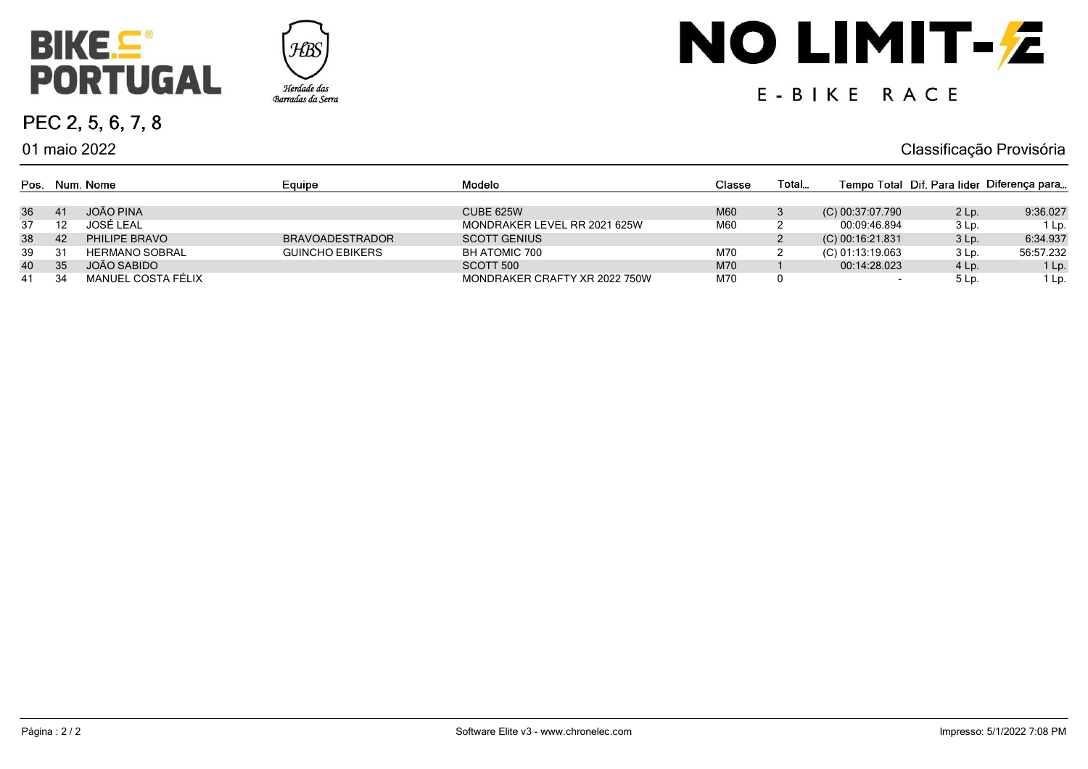

01 maio 2022

PEC 2, 5, 6, 7, 8



# NO LIMIT-Z

### E-BIKE RACE

Classificação Provisória

|    |    | Pos. Num. Nome        | Equipe                 | Modelo                        | Classe | Total |                    |                 | Tempo Total Dif. Para lider Diferença para |
|----|----|-----------------------|------------------------|-------------------------------|--------|-------|--------------------|-----------------|--------------------------------------------|
| 36 |    | JOÃO PINA             |                        | <b>CUBE 625W</b>              | M60    |       | (C) 00:37:07.790   | $2$ Lp.         | 9:36.027                                   |
| 37 |    | JOSÉ LEAL             |                        | MONDRAKER LEVEL RR 2021 625W  | M60    |       | 00:09:46.894       | 3 Lp.           | 1 Lp.                                      |
| 38 | 42 | PHILIPE BRAVO         | <b>BRAVOADESTRADOR</b> | <b>SCOTT GENIUS</b>           |        |       | $(C)$ 00:16:21.831 | $3lp$ .         | 6:34.937                                   |
| 39 | 31 | <b>HERMANO SOBRAL</b> | <b>GUINCHO EBIKERS</b> | BH ATOMIC 700                 | M70    |       | (C) 01:13:19.063   | 3 Lp.           | 56:57.232                                  |
| 40 | 35 | JOÃO SABIDO           |                        | SCOTT 500                     | M70    |       | 00:14:28.023       | 4 Lp.           | 1 Lp.                                      |
| 41 | 34 | MANUEL COSTA FÉLIX    |                        | MONDRAKER CRAFTY XR 2022 750W | M70    |       |                    | 5 <sub>lp</sub> | 1 Lp.                                      |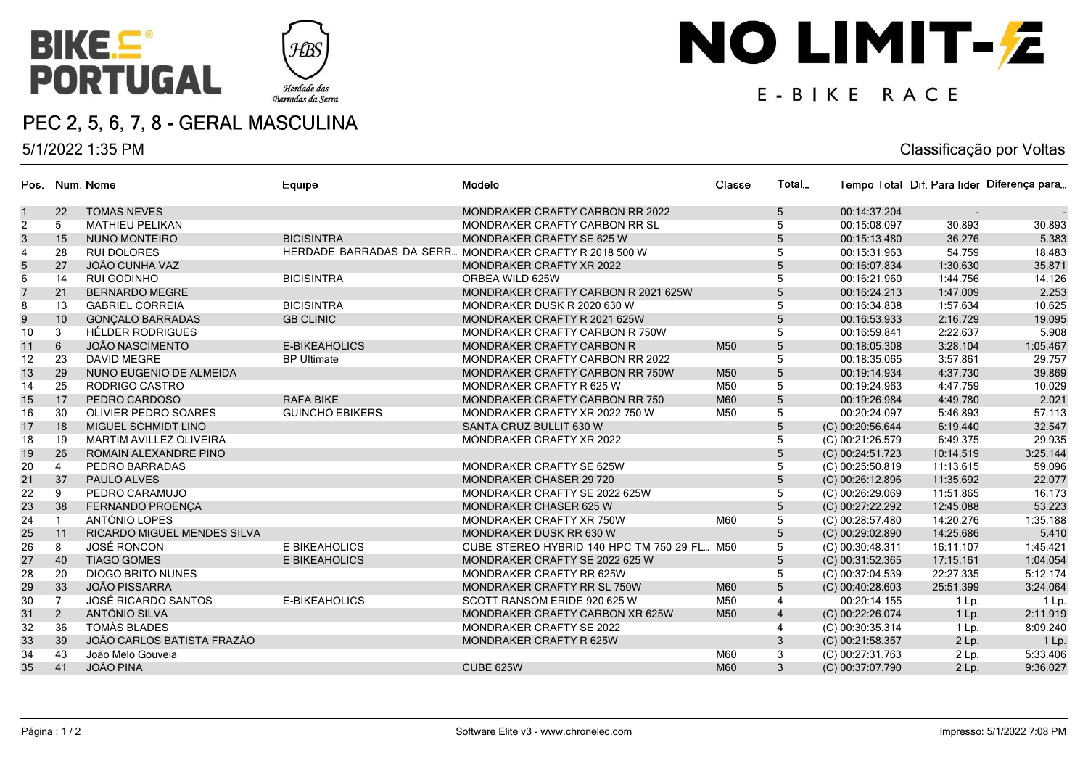



#### PEC 2, 5, 6, 7, 8 - GERAL MASCULINA

5/1/2022 1:35 PM

## NO LIMIT-Z

#### E-BIKE RACE

| Pos.             |                 | Num, Nome                          | Equipe                 | Modelo                                                 | Classe          | Total           |                    |           | Tempo Total Dif. Para lider Diferença para |
|------------------|-----------------|------------------------------------|------------------------|--------------------------------------------------------|-----------------|-----------------|--------------------|-----------|--------------------------------------------|
| $\mathbf{1}$     | 22              | <b>TOMAS NEVES</b>                 |                        | MONDRAKER CRAFTY CARBON RR 2022                        |                 | 5               | 00:14:37.204       |           |                                            |
| 2                | 5               | <b>MATHIEU PELIKAN</b>             |                        | MONDRAKER CRAFTY CARBON RR SL                          |                 | 5               | 00:15:08.097       | 30.893    | 30.893                                     |
| $\mathbf{3}$     | 15              | <b>NUNO MONTEIRO</b>               | <b>BICISINTRA</b>      | MONDRAKER CRAFTY SE 625 W                              |                 | $\sqrt{5}$      | 00:15:13.480       | 36.276    | 5.383                                      |
| $\overline{4}$   | 28              | <b>RUI DOLORES</b>                 |                        | HERDADE BARRADAS DA SERR MONDRAKER CRAFTY R 2018 500 W |                 | 5               | 00:15:31.963       | 54.759    | 18.483                                     |
| 5                | 27              | JOÃO CUNHA VAZ                     |                        | MONDRAKER CRAFTY XR 2022                               |                 | $\sqrt{5}$      | 00:16:07.834       | 1:30.630  | 35.871                                     |
| 6                | 14              | <b>RUI GODINHO</b>                 | <b>BICISINTRA</b>      | ORBEA WILD 625W                                        |                 | 5               | 00:16:21.960       | 1:44.756  | 14.126                                     |
| $\overline{7}$   | 21              | <b>BERNARDO MEGRE</b>              |                        | MONDRAKER CRAFTY CARBON R 2021 625W                    |                 | $\overline{5}$  | 00:16:24.213       | 1:47.009  | 2.253                                      |
| 8                | 13              | <b>GABRIEL CORREIA</b>             | <b>BICISINTRA</b>      | MONDRAKER DUSK R 2020 630 W                            |                 | 5               | 00:16:34.838       | 1:57.634  | 10.625                                     |
| $\boldsymbol{9}$ | 10 <sup>1</sup> | <b>GONÇALO BARRADAS</b>            | <b>GB CLINIC</b>       | MONDRAKER CRAFTY R 2021 625W                           |                 | 5               | 00:16:53.933       | 2:16.729  | 19.095                                     |
| 10               | 3               | HÉLDER RODRIGUES                   |                        | MONDRAKER CRAFTY CARBON R 750W                         |                 | 5               | 00:16:59.841       | 2:22.637  | 5.908                                      |
| 11               | 6               | <b>JOÃO NASCIMENTO</b>             | <b>E-BIKEAHOLICS</b>   | MONDRAKER CRAFTY CARBON R                              | M50             | $5\phantom{.0}$ | 00:18:05.308       | 3:28.104  | 1:05.467                                   |
| 12               | 23              | <b>DAVID MEGRE</b>                 | <b>BP Ultimate</b>     | MONDRAKER CRAFTY CARBON RR 2022                        |                 | 5               | 00:18:35.065       | 3:57.861  | 29.757                                     |
| 13               | 29              | NUNO EUGENIO DE ALMEIDA            |                        | MONDRAKER CRAFTY CARBON RR 750W                        | M50             | 5               | 00:19:14.934       | 4:37.730  | 39.869                                     |
| 14               | 25              | RODRIGO CASTRO                     |                        | MONDRAKER CRAFTY R 625 W                               | M50             | 5               | 00:19:24.963       | 4:47.759  | 10.029                                     |
| 15               | 17              | PEDRO CARDOSO                      | <b>RAFA BIKE</b>       | MONDRAKER CRAFTY CARBON RR 750                         | M60             | $5\phantom{.0}$ | 00:19:26.984       | 4:49.780  | 2.021                                      |
| 16               | 30              | OLIVIER PEDRO SOARES               | <b>GUINCHO EBIKERS</b> | MONDRAKER CRAFTY XR 2022 750 W                         | M50             | 5               | 00:20:24.097       | 5:46.893  | 57.113                                     |
| 17               | 18              | MIGUEL SCHMIDT LINO                |                        | SANTA CRUZ BULLIT 630 W                                |                 | $5\phantom{.0}$ | (C) 00:20:56.644   | 6:19.440  | 32.547                                     |
| 18               | 19              | <b>MARTIM AVILLEZ OLIVEIRA</b>     |                        | MONDRAKER CRAFTY XR 2022                               |                 | 5               | (C) 00:21:26.579   | 6:49.375  | 29.935                                     |
| 19               | 26              | ROMAIN ALEXANDRE PINO              |                        |                                                        |                 | $5\phantom{.}$  | (C) 00:24:51.723   | 10:14.519 | 3:25.144                                   |
| 20               | $\overline{4}$  | PEDRO BARRADAS                     |                        | MONDRAKER CRAFTY SE 625W                               |                 | 5               | (C) 00:25:50.819   | 11:13.615 | 59.096                                     |
| 21               | 37              | PAULO ALVES                        |                        | <b>MONDRAKER CHASER 29 720</b>                         |                 | $5\phantom{.}$  | (C) 00:26:12.896   | 11:35.692 | 22.077                                     |
| 22               | 9               | PEDRO CARAMUJO                     |                        | MONDRAKER CRAFTY SE 2022 625W                          |                 | $5\overline{)}$ | $(C)$ 00:26:29.069 | 11:51.865 | 16.173                                     |
| 23               | 38              | <b>FERNANDO PROENCA</b>            |                        | <b>MONDRAKER CHASER 625 W</b>                          |                 | $5\phantom{.}$  | (C) 00:27:22.292   | 12:45.088 | 53.223                                     |
| 24               |                 | ANTÓNIO LOPES                      |                        | MONDRAKER CRAFTY XR 750W                               | M60             | 5               | (C) 00:28:57.480   | 14:20.276 | 1:35.188                                   |
| 25               | 11              | <b>RICARDO MIGUEL MENDES SILVA</b> |                        | MONDRAKER DUSK RR 630 W                                |                 | $5\phantom{.0}$ | (C) 00:29:02.890   | 14:25.686 | 5.410                                      |
| 26               | 8               | <b>JOSÉ RONCON</b>                 | E BIKEAHOLICS          | CUBE STEREO HYBRID 140 HPC TM 750 29 FL M50            |                 | 5               | $(C)$ 00:30:48.311 | 16:11.107 | 1:45.421                                   |
| 27               | 40              | <b>TIAGO GOMES</b>                 | <b>E BIKEAHOLICS</b>   | MONDRAKER CRAFTY SE 2022 625 W                         |                 | 5               | (C) 00:31:52.365   | 17:15.161 | 1:04.054                                   |
| 28               | 20              | <b>DIOGO BRITO NUNES</b>           |                        | MONDRAKER CRAFTY RR 625W                               |                 | 5               | (C) 00:37:04.539   | 22:27.335 | 5:12.174                                   |
| 29               | 33              | <b>JOÃO PISSARRA</b>               |                        | MONDRAKER CRAFTY RR SL 750W                            | M60             | $5\phantom{.0}$ | (C) 00:40:28.603   | 25:51.399 | 3:24.064                                   |
| 30               |                 | JOSÉ RICARDO SANTOS                | E-BIKEAHOLICS          | SCOTT RANSOM ERIDE 920 625 W                           | M50             | $\overline{4}$  | 00:20:14.155       | 1 Lp.     | 1 Lp.                                      |
| 31               | $\overline{2}$  | ANTÓNIO SILVA                      |                        | MONDRAKER CRAFTY CARBON XR 625W                        | M <sub>50</sub> | $\overline{4}$  | (C) 00:22:26.074   | 1 Lp.     | 2:11.919                                   |
| 32               | 36              | <b>TOMÁS BLADES</b>                |                        | MONDRAKER CRAFTY SE 2022                               |                 | $\overline{4}$  | (C) 00:30:35.314   | 1 Lp.     | 8:09.240                                   |
| 33               | 39              | JOÃO CARLOS BATISTA FRAZÃO         |                        | MONDRAKER CRAFTY R 625W                                |                 | $\mathfrak{Z}$  | (C) 00:21:58.357   | $2$ Lp.   | $1$ Lp.                                    |
| 34               | 43              | João Melo Gouveia                  |                        |                                                        | M60             | 3               | (C) 00:27:31.763   | 2 Lp.     | 5:33.406                                   |
| 35               | 41              | <b>JOÃO PINA</b>                   |                        | CUBE 625W                                              | M60             | 3               | (C) 00:37:07.790   | $2$ Lp.   | 9:36.027                                   |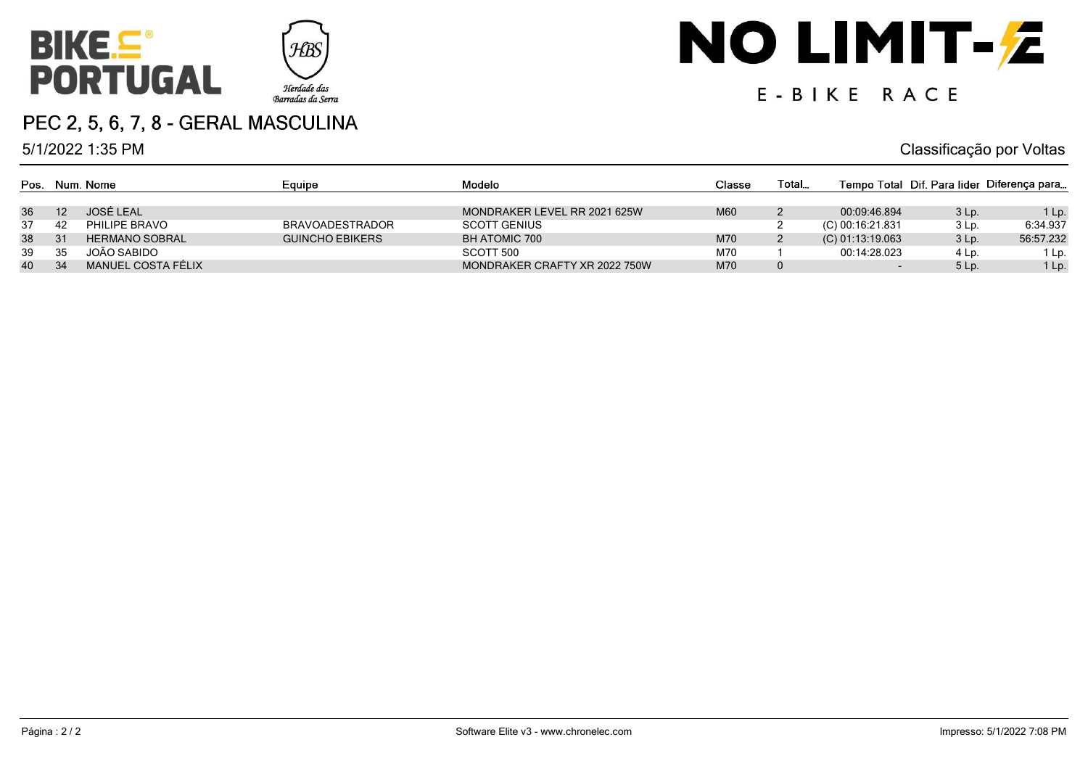

#### PEC 2, 5, 6, 7, 8 - GERAL MASCULINA

5/1/2022 1:35 PM

### NO LIMIT-Z

### E-BIKE RACE

|    |    | Pos. Num. Nome        | Equipe                 | Modelo                        | Classe | Total |                    |         | Tempo Total Dif. Para lider Diferença para |
|----|----|-----------------------|------------------------|-------------------------------|--------|-------|--------------------|---------|--------------------------------------------|
| 36 |    | JOSÉ LEAL             |                        | MONDRAKER LEVEL RR 2021 625W  | M60    |       | 00:09:46.894       | $3lp$ . | $1$ Lp.                                    |
| 37 | 42 | PHILIPE BRAVO         | <b>BRAVOADESTRADOR</b> | <b>SCOTT GENIUS</b>           |        |       | (C) 00:16:21.831   | 3 Lp.   | 6:34.937                                   |
| 38 |    | <b>HERMANO SOBRAL</b> | <b>GUINCHO EBIKERS</b> | <b>BH ATOMIC 700</b>          | M70    |       | $(C)$ 01:13:19.063 | $3lp$ . | 56:57.232                                  |
| 39 | 35 | JOÃO SABIDO           |                        | SCOTT 500                     | M70    |       | 00:14:28.023       | 4 Lp.   | 1 Lp.                                      |
| 40 | 34 | MANUEL COSTA FÉLIX    |                        | MONDRAKER CRAFTY XR 2022 750W | M70    | 0     |                    | 5 Lp.   | 1 Lp.                                      |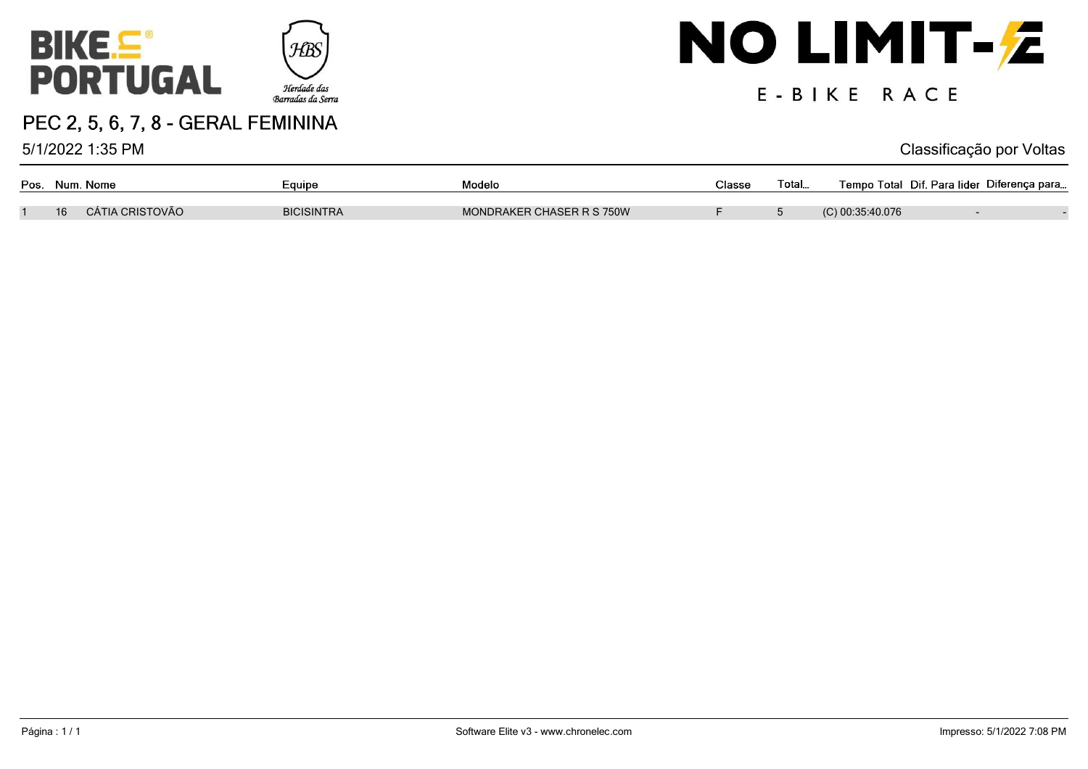



5/1/2022 1:35 PM

### NO LIMIT-Z

### E-BIKE RACE

|    | Pos. Num. Nome  | Equipe            | Modelo                    | Classe | Total… | Tempo Total Dif. Para lider Diferença para |  |
|----|-----------------|-------------------|---------------------------|--------|--------|--------------------------------------------|--|
| 16 | CÁTIA CRISTOVÃO | <b>BICISINTRA</b> | MONDRAKER CHASER R S 750W |        |        | $(C)$ 00:35:40.076                         |  |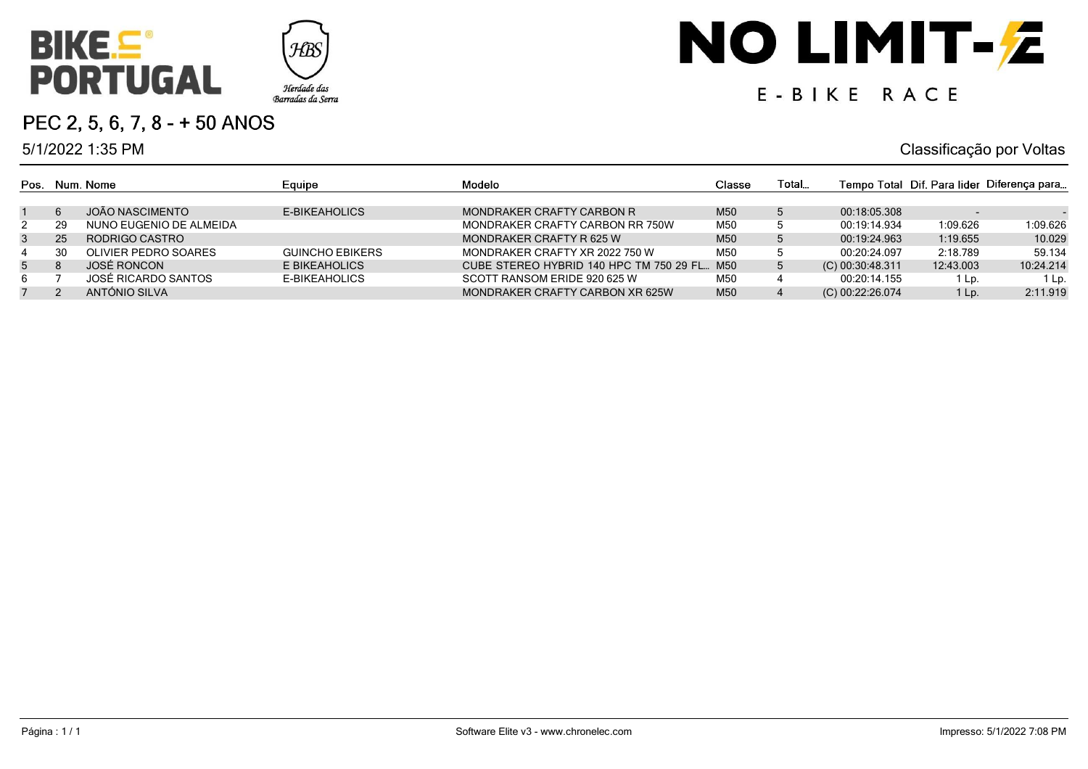



#### PEC 2, 5, 6, 7, 8 - + 50 ANOS

5/1/2022 1:35 PM

### NO LIMIT-Z

### E-BIKE RACE

|                |    | Pos. Num. Nome          | Equipe                 | Modelo                                      | Classe | Total |                    |                          | Tempo Total Dif. Para lider Diferença para |
|----------------|----|-------------------------|------------------------|---------------------------------------------|--------|-------|--------------------|--------------------------|--------------------------------------------|
|                | -6 | JOÃO NASCIMENTO         | E-BIKEAHOLICS          | MONDRAKER CRAFTY CARBON R                   | M50    |       | 00:18:05.308       |                          |                                            |
|                |    |                         |                        |                                             |        |       |                    | $\overline{\phantom{a}}$ |                                            |
| 2              | 29 | NUNO EUGENIO DE ALMEIDA |                        | MONDRAKER CRAFTY CARBON RR 750W             | M50    |       | 00:19:14.934       | 1:09.626                 | 1:09.626                                   |
| 3              | 25 | RODRIGO CASTRO          |                        | MONDRAKER CRAFTY R 625 W                    | M50    | 5     | 00:19:24.963       | 1:19.655                 | 10.029                                     |
| 4              | 30 | OLIVIER PEDRO SOARES    | <b>GUINCHO EBIKERS</b> | MONDRAKER CRAFTY XR 2022 750 W              | M50    |       | 00:20:24.097       | 2:18.789                 | 59.134                                     |
| 5 <sup>5</sup> |    | JOSÉ RONCON             | E BIKEAHOLICS          | CUBE STEREO HYBRID 140 HPC TM 750 29 FL M50 |        |       | (C) 00:30:48.311   | 12:43.003                | 10:24.214                                  |
| 6              |    | JOSÉ RICARDO SANTOS     | E-BIKEAHOLICS          | SCOTT RANSOM ERIDE 920 625 W                | M50    |       | 00:20:14.155       | 1 Lp.                    | 1 Lp.                                      |
|                |    | ANTÓNIO SILVA           |                        | MONDRAKER CRAFTY CARBON XR 625W             | M50    |       | $(C)$ 00:22:26.074 | 1 Lp.                    | 2:11.919                                   |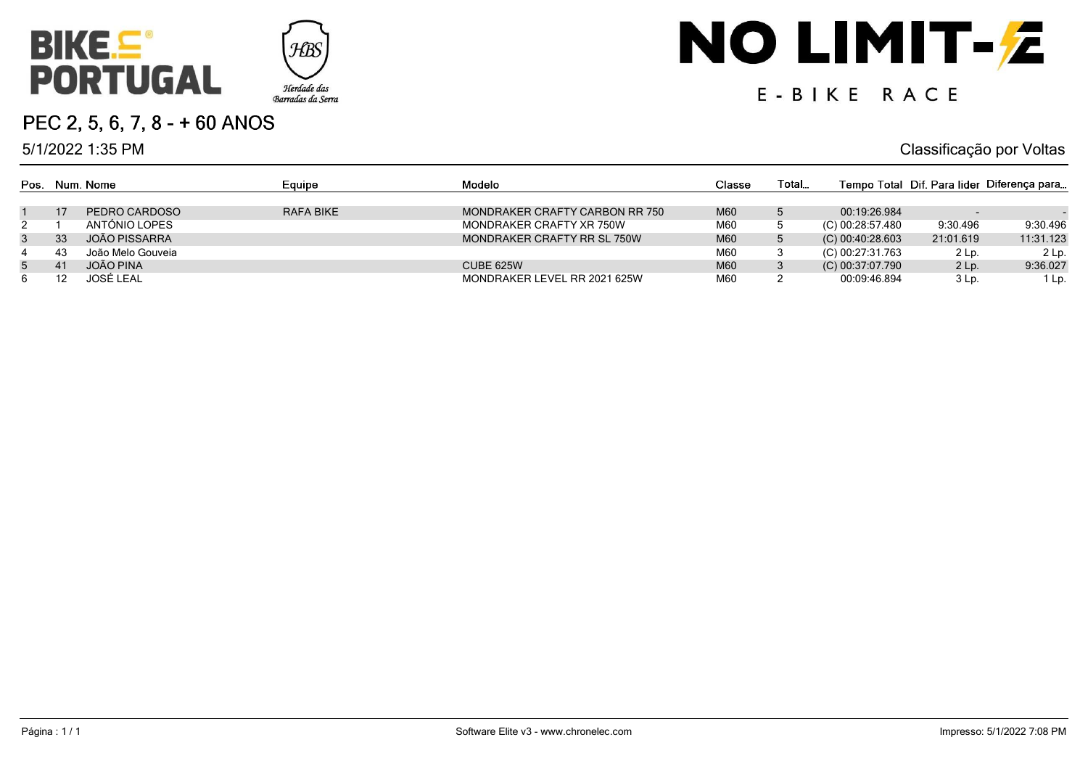



5/1/2022 1:35 PM

### NO LIMIT-Z

### E-BIKE RACE

|             |    | Pos. Num. Nome    | Equipe    | Modelo                         | Classe | Total       |                    |           | Tempo Total Dif. Para lider Diferença para |
|-------------|----|-------------------|-----------|--------------------------------|--------|-------------|--------------------|-----------|--------------------------------------------|
|             |    |                   |           |                                |        |             |                    |           |                                            |
|             | 17 | PEDRO CARDOSO     | RAFA BIKE | MONDRAKER CRAFTY CARBON RR 750 | M60    |             | 00:19:26.984       |           |                                            |
| $2^{\circ}$ |    | ANTÓNIO LOPES     |           | MONDRAKER CRAFTY XR 750W       | M60    |             | (C) 00:28:57.480   | 9:30.496  | 9:30.496                                   |
| 3           | 33 | JOÃO PISSARRA     |           | MONDRAKER CRAFTY RR SL 750W    | M60    | $\mathbf b$ | $(C)$ 00:40:28.603 | 21:01.619 | 11:31.123                                  |
| 4           | 43 | João Melo Gouveia |           |                                | M60    |             | (C) 00:27:31.763   | 2 Lp.     | 2 Lp.                                      |
| $5^{\circ}$ | 41 | JOÃO PINA         |           | CUBE 625W                      | M60    |             | (C) 00:37:07.790   | $2$ Lp.   | 9:36.027                                   |
| 6.          |    | JOSÉ LEAL         |           | MONDRAKER LEVEL RR 2021 625W   | M60    |             | 00:09:46.894       | 3 Lp.     | 1 Lp.                                      |